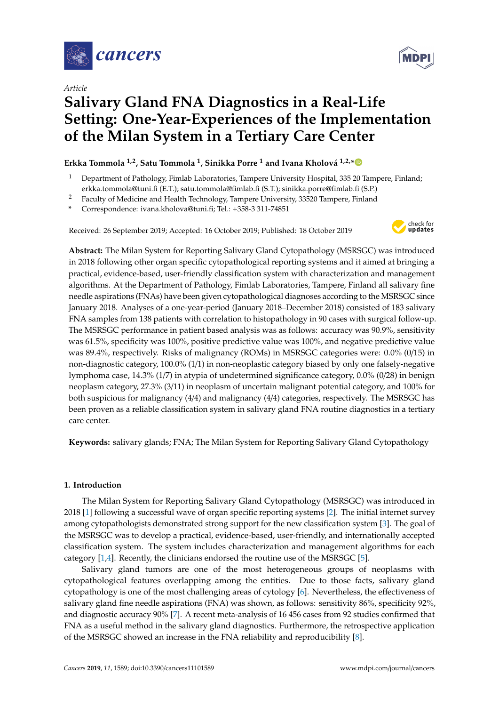

*Article*



# **Salivary Gland FNA Diagnostics in a Real-Life Setting: One-Year-Experiences of the Implementation of the Milan System in a Tertiary Care Center**

# **Erkka Tommola 1,2, Satu Tommola <sup>1</sup> , Sinikka Porre <sup>1</sup> and Ivana Kholová 1,2,[\\*](https://orcid.org/0000-0003-4089-0450)**

- <sup>1</sup> Department of Pathology, Fimlab Laboratories, Tampere University Hospital, 335 20 Tampere, Finland; erkka.tommola@tuni.fi (E.T.); satu.tommola@fimlab.fi (S.T.); sinikka.porre@fimlab.fi (S.P.)
- <sup>2</sup> Faculty of Medicine and Health Technology, Tampere University, 33520 Tampere, Finland
- **\*** Correspondence: ivana.kholova@tuni.fi; Tel.: +358-3 311-74851

Received: 26 September 2019; Accepted: 16 October 2019; Published: 18 October 2019



**Abstract:** The Milan System for Reporting Salivary Gland Cytopathology (MSRSGC) was introduced in 2018 following other organ specific cytopathological reporting systems and it aimed at bringing a practical, evidence-based, user-friendly classification system with characterization and management algorithms. At the Department of Pathology, Fimlab Laboratories, Tampere, Finland all salivary fine needle aspirations (FNAs) have been given cytopathological diagnoses according to the MSRSGC since January 2018. Analyses of a one-year-period (January 2018–December 2018) consisted of 183 salivary FNA samples from 138 patients with correlation to histopathology in 90 cases with surgical follow-up. The MSRSGC performance in patient based analysis was as follows: accuracy was 90.9%, sensitivity was 61.5%, specificity was 100%, positive predictive value was 100%, and negative predictive value was 89.4%, respectively. Risks of malignancy (ROMs) in MSRSGC categories were: 0.0% (0/15) in non-diagnostic category, 100.0% (1/1) in non-neoplastic category biased by only one falsely-negative lymphoma case, 14.3% (1/7) in atypia of undetermined significance category, 0.0% (0/28) in benign neoplasm category, 27.3% (3/11) in neoplasm of uncertain malignant potential category, and 100% for both suspicious for malignancy (4/4) and malignancy (4/4) categories, respectively. The MSRSGC has been proven as a reliable classification system in salivary gland FNA routine diagnostics in a tertiary care center.

**Keywords:** salivary glands; FNA; The Milan System for Reporting Salivary Gland Cytopathology

## **1. Introduction**

The Milan System for Reporting Salivary Gland Cytopathology (MSRSGC) was introduced in 2018 [\[1\]](#page-8-0) following a successful wave of organ specific reporting systems [\[2\]](#page-8-1). The initial internet survey among cytopathologists demonstrated strong support for the new classification system [\[3\]](#page-8-2). The goal of the MSRSGC was to develop a practical, evidence-based, user-friendly, and internationally accepted classification system. The system includes characterization and management algorithms for each category [\[1,](#page-8-0)[4\]](#page-8-3). Recently, the clinicians endorsed the routine use of the MSRSGC [\[5\]](#page-8-4).

Salivary gland tumors are one of the most heterogeneous groups of neoplasms with cytopathological features overlapping among the entities. Due to those facts, salivary gland cytopathology is one of the most challenging areas of cytology [\[6\]](#page-8-5). Nevertheless, the effectiveness of salivary gland fine needle aspirations (FNA) was shown, as follows: sensitivity 86%, specificity 92%, and diagnostic accuracy 90% [\[7\]](#page-8-6). A recent meta-analysis of 16 456 cases from 92 studies confirmed that FNA as a useful method in the salivary gland diagnostics. Furthermore, the retrospective application of the MSRSGC showed an increase in the FNA reliability and reproducibility [\[8\]](#page-8-7).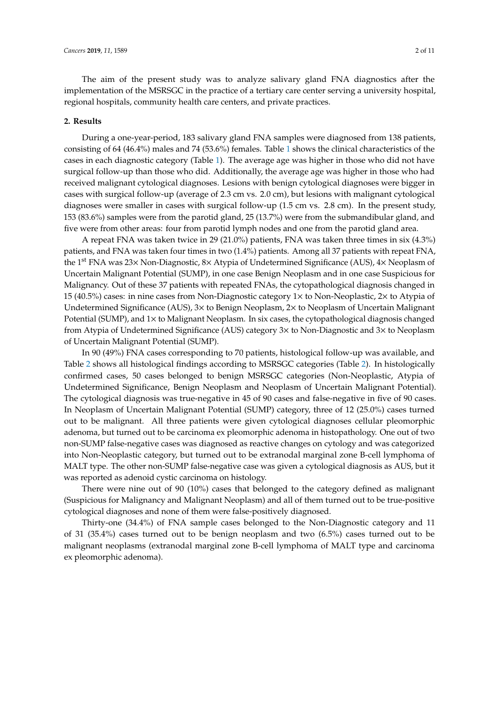The aim of the present study was to analyze salivary gland FNA diagnostics after the implementation of the MSRSGC in the practice of a tertiary care center serving a university hospital, regional hospitals, community health care centers, and private practices.

#### **2. Results**

During a one-year-period, 183 salivary gland FNA samples were diagnosed from 138 patients, consisting of 64 (46.4%) males and 74 (53.6%) females. Table [1](#page-2-0) shows the clinical characteristics of the cases in each diagnostic category (Table [1\)](#page-2-0). The average age was higher in those who did not have surgical follow-up than those who did. Additionally, the average age was higher in those who had received malignant cytological diagnoses. Lesions with benign cytological diagnoses were bigger in cases with surgical follow-up (average of 2.3 cm vs. 2.0 cm), but lesions with malignant cytological diagnoses were smaller in cases with surgical follow-up (1.5 cm vs. 2.8 cm). In the present study, 153 (83.6%) samples were from the parotid gland, 25 (13.7%) were from the submandibular gland, and five were from other areas: four from parotid lymph nodes and one from the parotid gland area.

A repeat FNA was taken twice in 29 (21.0%) patients, FNA was taken three times in six (4.3%) patients, and FNA was taken four times in two (1.4%) patients. Among all 37 patients with repeat FNA, the 1st FNA was 23× Non-Diagnostic, 8× Atypia of Undetermined Significance (AUS), 4× Neoplasm of Uncertain Malignant Potential (SUMP), in one case Benign Neoplasm and in one case Suspicious for Malignancy. Out of these 37 patients with repeated FNAs, the cytopathological diagnosis changed in 15 (40.5%) cases: in nine cases from Non-Diagnostic category 1× to Non-Neoplastic, 2× to Atypia of Undetermined Significance (AUS), 3× to Benign Neoplasm, 2× to Neoplasm of Uncertain Malignant Potential (SUMP), and 1× to Malignant Neoplasm. In six cases, the cytopathological diagnosis changed from Atypia of Undetermined Significance (AUS) category 3× to Non-Diagnostic and 3× to Neoplasm of Uncertain Malignant Potential (SUMP).

In 90 (49%) FNA cases corresponding to 70 patients, histological follow-up was available, and Table [2](#page-3-0) shows all histological findings according to MSRSGC categories (Table [2\)](#page-3-0). In histologically confirmed cases, 50 cases belonged to benign MSRSGC categories (Non-Neoplastic, Atypia of Undetermined Significance, Benign Neoplasm and Neoplasm of Uncertain Malignant Potential). The cytological diagnosis was true-negative in 45 of 90 cases and false-negative in five of 90 cases. In Neoplasm of Uncertain Malignant Potential (SUMP) category, three of 12 (25.0%) cases turned out to be malignant. All three patients were given cytological diagnoses cellular pleomorphic adenoma, but turned out to be carcinoma ex pleomorphic adenoma in histopathology. One out of two non-SUMP false-negative cases was diagnosed as reactive changes on cytology and was categorized into Non-Neoplastic category, but turned out to be extranodal marginal zone B-cell lymphoma of MALT type. The other non-SUMP false-negative case was given a cytological diagnosis as AUS, but it was reported as adenoid cystic carcinoma on histology.

There were nine out of 90 (10%) cases that belonged to the category defined as malignant (Suspicious for Malignancy and Malignant Neoplasm) and all of them turned out to be true-positive cytological diagnoses and none of them were false-positively diagnosed.

Thirty-one (34.4%) of FNA sample cases belonged to the Non-Diagnostic category and 11 of 31 (35.4%) cases turned out to be benign neoplasm and two (6.5%) cases turned out to be malignant neoplasms (extranodal marginal zone B-cell lymphoma of MALT type and carcinoma ex pleomorphic adenoma).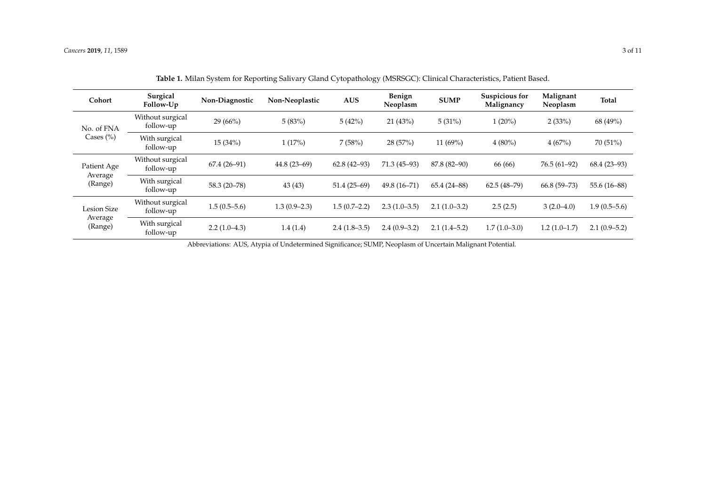| Cohort                                   | Surgical<br>Follow-Up         | Non-Diagnostic | Non-Neoplastic | <b>AUS</b>     | Benign<br>Neoplasm | <b>SUMP</b>     | Suspicious for<br>Malignancy | Malignant<br>Neoplasm | Total          |
|------------------------------------------|-------------------------------|----------------|----------------|----------------|--------------------|-----------------|------------------------------|-----------------------|----------------|
| No. of FNA                               | Without surgical<br>follow-up | 29 (66%)       | 5(83%)         | 5(42%)         | 21(43%)            | 5(31%)          | $1(20\%)$                    | 2(33%)                | 68 (49%)       |
| Cases $(\% )$                            | With surgical<br>follow-up    | 15(34%)        | 1(17%)         | 7(58%)         | 28 (57%)           | 11 $(69%)$      | $4(80\%)$                    | 4(67%)                | 70 (51%)       |
| Patient Age<br>Average<br>(Range)        | Without surgical<br>follow-up | $67.4(26-91)$  | $44.8(23-69)$  | $62.8(42-93)$  | $71.3(45-93)$      |                 | 66 (66)                      | $76.5(61-92)$         | $68.4(23-93)$  |
|                                          | With surgical<br>follow-up    | $58.3(20-78)$  | 43(43)         | $51.4(25-69)$  | $49.8(16 - 71)$    | $65.4(24 - 88)$ | $62.5(48-79)$                | $66.8(59 - 73)$       | 55.6 (16-88)   |
| <b>Lesion Size</b><br>Average<br>(Range) | Without surgical<br>follow-up | $1.5(0.5-5.6)$ | $1.3(0.9-2.3)$ | $1.5(0.7-2.2)$ | $2.3(1.0-3.5)$     | $2.1(1.0-3.2)$  | 2.5(2.5)                     | $3(2.0-4.0)$          | $1.9(0.5-5.6)$ |
|                                          | With surgical<br>follow-up    | $2.2(1.0-4.3)$ | 1.4(1.4)       | $2.4(1.8-3.5)$ | $2.4(0.9-3.2)$     | $2.1(1.4-5.2)$  | $1.7(1.0-3.0)$               | $1.2(1.0-1.7)$        | $2.1(0.9-5.2)$ |

**Table 1.** Milan System for Reporting Salivary Gland Cytopathology (MSRSGC): Clinical Characteristics, Patient Based.

<span id="page-2-0"></span>Abbreviations: AUS, Atypia of Undetermined Significance; SUMP, Neoplasm of Uncertain Malignant Potential.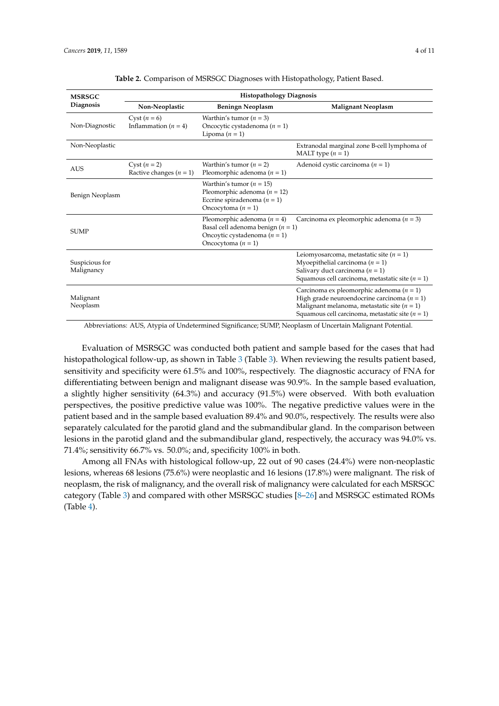<span id="page-3-0"></span>

| <b>MSRSGC</b>                | <b>Histopathology Diagnosis</b>               |                                                                                                                                  |                                                                                                                                                                                                          |  |  |  |  |  |  |  |
|------------------------------|-----------------------------------------------|----------------------------------------------------------------------------------------------------------------------------------|----------------------------------------------------------------------------------------------------------------------------------------------------------------------------------------------------------|--|--|--|--|--|--|--|
| Diagnosis                    | Non-Neoplastic                                | <b>Beningn Neoplasm</b>                                                                                                          | <b>Malignant Neoplasm</b>                                                                                                                                                                                |  |  |  |  |  |  |  |
| Non-Diagnostic               | Cyst $(n = 6)$<br>Inflammation $(n = 4)$      | Warthin's tumor $(n = 3)$<br>Oncocytic cystadenoma $(n = 1)$<br>Lipoma $(n = 1)$                                                 |                                                                                                                                                                                                          |  |  |  |  |  |  |  |
| Non-Neoplastic               |                                               |                                                                                                                                  | Extranodal marginal zone B-cell lymphoma of<br>MALT type $(n = 1)$                                                                                                                                       |  |  |  |  |  |  |  |
| <b>AUS</b>                   | Cyst $(n = 2)$<br>Ractive changes ( $n = 1$ ) | Warthin's tumor $(n = 2)$<br>Pleomorphic adenoma $(n = 1)$                                                                       | Adenoid cystic carcinoma $(n = 1)$                                                                                                                                                                       |  |  |  |  |  |  |  |
| Benign Neoplasm              |                                               | Warthin's tumor ( $n = 15$ )<br>Pleomorphic adenoma ( $n = 12$ )<br>Eccrine spiradenoma $(n = 1)$<br>Oncocytoma $(n = 1)$        |                                                                                                                                                                                                          |  |  |  |  |  |  |  |
| <b>SUMP</b>                  |                                               | Pleomorphic adenoma ( $n = 4$ )<br>Basal cell adenoma benign $(n = 1)$<br>Oncoytic cystadenoma $(n = 1)$<br>Oncocytoma $(n = 1)$ | Carcinoma ex pleomorphic adenoma ( $n = 3$ )                                                                                                                                                             |  |  |  |  |  |  |  |
| Suspicious for<br>Malignancy |                                               |                                                                                                                                  | Leiomyosarcoma, metastatic site ( $n = 1$ )<br>Myoepithelial carcinoma ( $n = 1$ )<br>Salivary duct carcinoma ( $n = 1$ )<br>Squamous cell carcinoma, metastatic site $(n = 1)$                          |  |  |  |  |  |  |  |
| Malignant<br>Neoplasm        |                                               |                                                                                                                                  | Carcinoma ex pleomorphic adenoma ( $n = 1$ )<br>High grade neuroendocrine carcinoma ( $n = 1$ )<br>Malignant melanoma, metastatic site ( $n = 1$ )<br>Squamous cell carcinoma, metastatic site $(n = 1)$ |  |  |  |  |  |  |  |

|  |  |  |  |  |  | Table 2. Comparison of MSRSGC Diagnoses with Histopathology, Patient Based. |
|--|--|--|--|--|--|-----------------------------------------------------------------------------|
|--|--|--|--|--|--|-----------------------------------------------------------------------------|

Abbreviations: AUS, Atypia of Undetermined Significance; SUMP, Neoplasm of Uncertain Malignant Potential.

Evaluation of MSRSGC was conducted both patient and sample based for the cases that had histopathological follow-up, as shown in Table [3](#page-4-0) (Table [3\)](#page-4-0). When reviewing the results patient based, sensitivity and specificity were 61.5% and 100%, respectively. The diagnostic accuracy of FNA for differentiating between benign and malignant disease was 90.9%. In the sample based evaluation, a slightly higher sensitivity (64.3%) and accuracy (91.5%) were observed. With both evaluation perspectives, the positive predictive value was 100%. The negative predictive values were in the patient based and in the sample based evaluation 89.4% and 90.0%, respectively. The results were also separately calculated for the parotid gland and the submandibular gland. In the comparison between lesions in the parotid gland and the submandibular gland, respectively, the accuracy was 94.0% vs. 71.4%; sensitivity 66.7% vs. 50.0%; and, specificity 100% in both.

Among all FNAs with histological follow-up, 22 out of 90 cases (24.4%) were non-neoplastic lesions, whereas 68 lesions (75.6%) were neoplastic and 16 lesions (17.8%) were malignant. The risk of neoplasm, the risk of malignancy, and the overall risk of malignancy were calculated for each MSRSGC category (Table [3\)](#page-4-0) and compared with other MSRSGC studies [\[8–](#page-8-7)[26\]](#page-9-0) and MSRSGC estimated ROMs (Table [4\)](#page-5-0).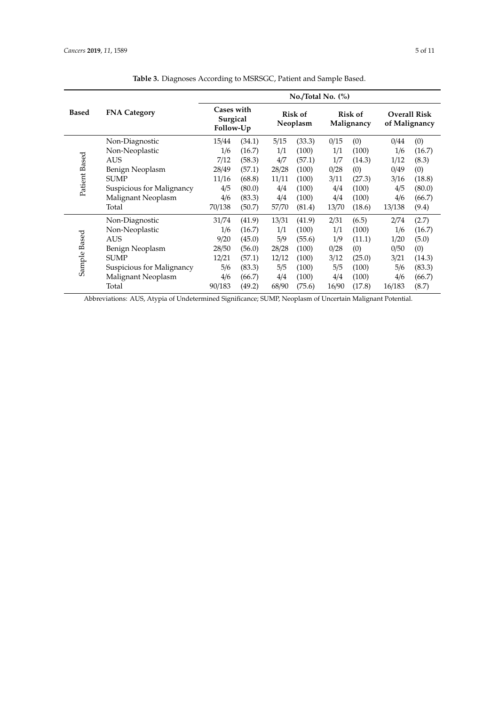<span id="page-4-0"></span>

|               |                           | $No$ . Total No. $(\%)$                    |        |       |                     |       |                              |        |                                      |  |  |  |  |  |
|---------------|---------------------------|--------------------------------------------|--------|-------|---------------------|-------|------------------------------|--------|--------------------------------------|--|--|--|--|--|
| <b>Based</b>  | <b>FNA Category</b>       | <b>Cases with</b><br>Surgical<br>Follow-Up |        |       | Risk of<br>Neoplasm |       | <b>Risk of</b><br>Malignancy |        | <b>Overall Risk</b><br>of Malignancy |  |  |  |  |  |
|               | Non-Diagnostic            | 15/44                                      | (34.1) | 5/15  | (33.3)              | 0/15  | (0)                          | 0/44   | (0)                                  |  |  |  |  |  |
|               | Non-Neoplastic            | 1/6                                        | (16.7) | 1/1   | (100)               | 1/1   | (100)                        | 1/6    | (16.7)                               |  |  |  |  |  |
|               | <b>AUS</b>                | 7/12                                       | (58.3) | 4/7   | (57.1)              | 1/7   | (14.3)                       | 1/12   | (8.3)                                |  |  |  |  |  |
|               | Benign Neoplasm           | 28/49                                      | (57.1) | 28/28 | (100)               | 0/28  | (0)                          | 0/49   | (0)                                  |  |  |  |  |  |
| Patient Based | <b>SUMP</b>               | 11/16                                      | (68.8) | 11/11 | (100)               | 3/11  | (27.3)                       | 3/16   | (18.8)                               |  |  |  |  |  |
|               | Suspicious for Malignancy | 4/5                                        | (80.0) | 4/4   | (100)               | 4/4   | (100)                        | 4/5    | (80.0)                               |  |  |  |  |  |
|               | Malignant Neoplasm        | 4/6                                        | (83.3) | 4/4   | (100)               | 4/4   | (100)                        | 4/6    | (66.7)                               |  |  |  |  |  |
|               | Total                     | 70/138                                     | (50.7) | 57/70 | (81.4)              | 13/70 | (18.6)                       | 13/138 | (9.4)                                |  |  |  |  |  |
|               | Non-Diagnostic            | 31/74                                      | (41.9) | 13/31 | (41.9)              | 2/31  | (6.5)                        | 2/74   | (2.7)                                |  |  |  |  |  |
|               | Non-Neoplastic            | 1/6                                        | (16.7) | 1/1   | (100)               | 1/1   | (100)                        | 1/6    | (16.7)                               |  |  |  |  |  |
|               | <b>AUS</b>                | 9/20                                       | (45.0) | 5/9   | (55.6)              | 1/9   | (11.1)                       | 1/20   | (5.0)                                |  |  |  |  |  |
| Sample Based  | Benign Neoplasm           | 28/50                                      | (56.0) | 28/28 | (100)               | 0/28  | (0)                          | 0/50   | (0)                                  |  |  |  |  |  |
|               | <b>SUMP</b>               | 12/21                                      | (57.1) | 12/12 | (100)               | 3/12  | (25.0)                       | 3/21   | (14.3)                               |  |  |  |  |  |
|               | Suspicious for Malignancy | 5/6                                        | (83.3) | 5/5   | (100)               | 5/5   | (100)                        | 5/6    | (83.3)                               |  |  |  |  |  |
|               | Malignant Neoplasm        | 4/6                                        | (66.7) | 4/4   | (100)               | 4/4   | (100)                        | 4/6    | (66.7)                               |  |  |  |  |  |
|               | Total                     | 90/183                                     | (49.2) | 68/90 | (75.6)              | 16/90 | (17.8)                       | 16/183 | (8.7)                                |  |  |  |  |  |

**Table 3.** Diagnoses According to MSRSGC, Patient and Sample Based.

Abbreviations: AUS, Atypia of Undetermined Significance; SUMP, Neoplasm of Uncertain Malignant Potential.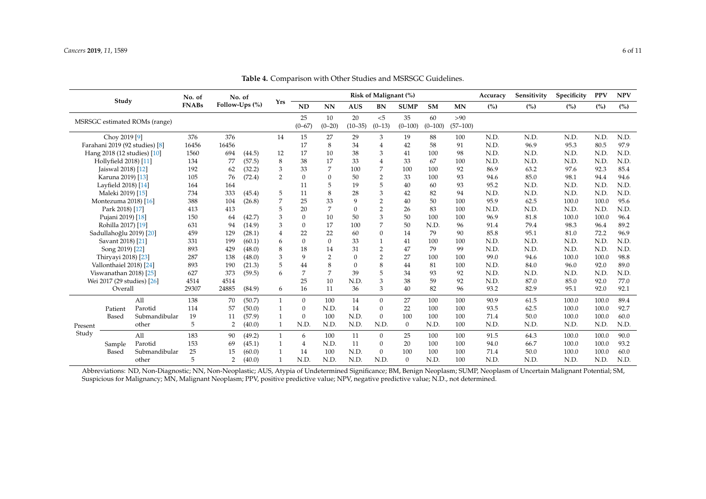| Study                          |                            | No. of        | No. of       |                |        | Risk of Malignant (%) |                  |                  |                   |                 |                 |                   |                   | Sensitivity | Specificity | <b>PPV</b> | <b>NPV</b> |      |
|--------------------------------|----------------------------|---------------|--------------|----------------|--------|-----------------------|------------------|------------------|-------------------|-----------------|-----------------|-------------------|-------------------|-------------|-------------|------------|------------|------|
|                                |                            |               | <b>FNABs</b> | Follow-Ups (%) |        | Yrs                   | <b>ND</b>        | NN               | <b>AUS</b>        | <b>BN</b>       | <b>SUMP</b>     | <b>SM</b>         | MN                | (%)         | (%)         | (%)        | (%)        | (%)  |
| MSRSGC estimated ROMs (range)  |                            |               |              |                |        |                       | 25<br>$(0 - 67)$ | 10<br>$(0 - 20)$ | 20<br>$(10 - 35)$ | < 5<br>$(0-13)$ | 35<br>$(0-100)$ | 60<br>$(0 - 100)$ | >90<br>$(57-100)$ |             |             |            |            |      |
| Choy 2019 [9]                  |                            |               | 376          | 376            |        | 14                    | 15               | 27               | 29                | 3               | 19              | 88                | 100               | N.D.        | N.D.        | N.D.       | N.D.       | N.D. |
| Farahani 2019 (92 studies) [8] |                            | 16456         | 16456        |                |        | 17                    | 8                | 34               | $\overline{4}$    | 42              | 58              | 91                | N.D.              | 96.9        | 95.3        | 80.5       | 97.9       |      |
| Hang 2018 (12 studies) [10]    |                            |               | 1560         | 694            | (44.5) | 12                    | 17               | 10               | 38                | 3               | 41              | 100               | 98                | N.D.        | N.D.        | N.D.       | N.D.       | N.D. |
|                                | Hollyfield 2018) [11]      |               | 134          | 77             | (57.5) | 8                     | 38               | 17               | 33                | $\overline{4}$  | 33              | 67                | 100               | N.D.        | N.D.        | N.D.       | N.D.       | N.D. |
|                                | Jaiswal 2018) [12]         |               | 192          | 62             | (32.2) | 3                     | 33               | 7                | 100               | 7               | 100             | 100               | 92                | 86.9        | 63.2        | 97.6       | 92.3       | 85.4 |
|                                | Karuna 2019) [13]          |               | 105          | 76             | (72.4) | 2                     | $\mathbf{0}$     | 0                | 50                | 2               | 33              | 100               | 93                | 94.6        | 85.0        | 98.1       | 94.4       | 94.6 |
|                                | Layfield 2018) [14]        |               | 164          | 164            |        |                       | 11               | 5                | 19                | 5               | 40              | 60                | 93                | 95.2        | N.D.        | N.D.       | N.D.       | N.D. |
|                                | Maleki 2019) [15]          |               | 734          | 333            | (45.4) | 5                     | 11               | 8                | 28                | 3               | 42              | 82                | 94                | N.D.        | N.D.        | N.D.       | N.D.       | N.D. |
|                                | Montezuma 2018) [16]       |               | 388          | 104            | (26.8) |                       | 25               | 33               | $\mathbf Q$       | $\overline{2}$  | 40              | 50                | 100               | 95.9        | 62.5        | 100.0      | 100.0      | 95.6 |
| Park 2018) [17]                |                            |               | 413          | 413            |        |                       | 20               | 7                | $\Omega$          | $\overline{2}$  | 26              | 83                | 100               | N.D.        | N.D.        | N.D.       | N.D.       | N.D. |
| Pujani 2019) [18]              |                            |               | 150          | 64             | (42.7) | 3                     | $\Omega$         | 10               | 50                | 3               | 50              | 100               | 100               | 96.9        | 81.8        | 100.0      | 100.0      | 96.4 |
| Rohilla 2017) [19]             |                            |               | 631          | 94             | (14.9) | 3                     | $\Omega$         | 17               | 100               | 7               | 50              | N.D.              | 96                | 91.4        | 79.4        | 98.3       | 96.4       | 89.2 |
|                                | Sadullahoğlu 2019) [20]    |               | 459          | 129            | (28.1) | 4                     | 22               | 22               | 60                | $\theta$        | 14              | 79                | 90                | 85.8        | 95.1        | 81.0       | 72.2       | 96.9 |
|                                | Savant 2018) [21]          |               | 331          | 199            | (60.1) | 6                     | $\Omega$         | $\mathbf{0}$     | 33                |                 | 41              | 100               | 100               | N.D.        | N.D.        | N.D.       | N.D.       | N.D. |
|                                | Song 2019) [22]            |               | 893          | 429            | (48.0) | 8                     | 18               | 14               | 31                | $\overline{2}$  | 47              | 79                | 99                | N.D.        | N.D.        | N.D.       | N.D.       | N.D. |
|                                | Thiryayi 2018) [23]        |               | 287          | 138            | (48.0) | 3                     | 9                | 2                | $\Omega$          | $\overline{2}$  | 27              | 100               | 100               | 99.0        | 94.6        | 100.0      | 100.0      | 98.8 |
|                                | Vallonthaiel 2018) [24]    |               | 893          | 190            | (21.3) | 5                     | 44               | 8                | $\Omega$          | 8               | 44              | 81                | 100               | N.D.        | 84.0        | 96.0       | 92.0       | 89.0 |
|                                | Viswanathan 2018) [25]     |               | 627          | 373            | (59.5) | 6                     | 7                | 7                | 39                | 5               | 34              | 93                | 92                | N.D.        | N.D.        | N.D.       | N.D.       | N.D. |
|                                | Wei 2017 (29 studies) [26] |               | 4514         | 4514           |        |                       | 25               | 10               | N.D.              | 3               | 38              | 59                | 92                | N.D.        | 87.0        | 85.0       | 92.0       | 77.0 |
|                                | Overall                    |               | 29307        | 24885          | (84.9) | 6                     | 16               | 11               | 36                | 3               | 40              | 82                | 96                | 93.2        | 82.9        | 95.1       | 92.0       | 92.1 |
|                                |                            | A11           | 138          | 70             | (50.7) |                       | $\mathbf{0}$     | 100              | 14                | $\Omega$        | 27              | 100               | 100               | 90.9        | 61.5        | 100.0      | 100.0      | 89.4 |
|                                | Patient                    | Parotid       | 114          | 57             | (50.0) |                       | $\theta$         | N.D.             | 14                | $\Omega$        | 22              | 100               | 100               | 93.5        | 62.5        | 100.0      | 100.0      | 92.7 |
|                                | Based                      | Submandibular | 19           | 11             | (57.9) |                       | $\mathbf{0}$     | 100              | N.D.              | $\mathbf{0}$    | 100             | 100               | 100               | 71.4        | 50.0        | 100.0      | 100.0      | 60.0 |
| Present<br>Study               |                            | other         | 5            | $\overline{2}$ | (40.0) | 1                     | N.D.             | N.D.             | N.D.              | N.D.            | $\mathbf{0}$    | N.D.              | 100               | N.D.        | N.D.        | N.D.       | N.D.       | N.D. |
|                                |                            | All           | 183          | 90             | (49.2) |                       | 6                | 100              | 11                | $\mathbf{0}$    | 25              | 100               | 100               | 91.5        | 64.3        | 100.0      | 100.0      | 90.0 |
|                                | Sample                     | Parotid       | 153          | 69             | (45.1) |                       | 4                | N.D.             | 11                | $\mathbf{0}$    | 20              | 100               | 100               | 94.0        | 66.7        | 100.0      | 100.0      | 93.2 |
|                                | Based                      | Submandibular | 25           | 15             | (60.0) |                       | 14               | 100              | N.D.              | $\Omega$        | 100             | 100               | 100               | 71.4        | 50.0        | 100.0      | 100.0      | 60.0 |
|                                |                            | other         | 5            | $\overline{2}$ | (40.0) |                       | N.D.             | N.D.             | N.D.              | N.D.            | $\mathbf{0}$    | N.D.              | 100               | N.D.        | N.D.        | N.D.       | N.D.       | N.D. |

**Table 4.** Comparison with Other Studies and MSRSGC Guidelines.

<span id="page-5-0"></span>Abbreviations: ND, Non-Diagnostic; NN, Non-Neoplastic; AUS, Atypia of Undetermined Significance; BM, Benign Neoplasm; SUMP, Neoplasm of Uncertain Malignant Potential; SM, Suspicious for Malignancy; MN, Malignant Neoplasm; PPV, positive predictive value; NPV, negative predictive value; N.D., not determined.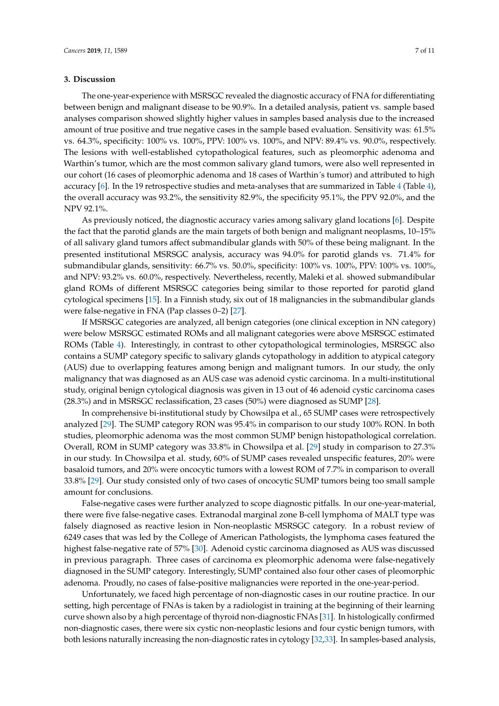#### **3. Discussion**

The one-year-experience with MSRSGC revealed the diagnostic accuracy of FNA for differentiating between benign and malignant disease to be 90.9%. In a detailed analysis, patient vs. sample based analyses comparison showed slightly higher values in samples based analysis due to the increased amount of true positive and true negative cases in the sample based evaluation. Sensitivity was: 61.5% vs. 64.3%, specificity: 100% vs. 100%, PPV: 100% vs. 100%, and NPV: 89.4% vs. 90.0%, respectively. The lesions with well-established cytopathological features, such as pleomorphic adenoma and Warthin's tumor, which are the most common salivary gland tumors, were also well represented in our cohort (16 cases of pleomorphic adenoma and 18 cases of Warthin´s tumor) and attributed to high accuracy [\[6\]](#page-8-5). In the 19 retrospective studies and meta-analyses that are summarized in Table [4](#page-5-0) (Table [4\)](#page-5-0), the overall accuracy was 93.2%, the sensitivity 82.9%, the specificity 95.1%, the PPV 92.0%, and the NPV 92.1%.

As previously noticed, the diagnostic accuracy varies among salivary gland locations [\[6\]](#page-8-5). Despite the fact that the parotid glands are the main targets of both benign and malignant neoplasms, 10–15% of all salivary gland tumors affect submandibular glands with 50% of these being malignant. In the presented institutional MSRSGC analysis, accuracy was 94.0% for parotid glands vs. 71.4% for submandibular glands, sensitivity: 66.7% vs. 50.0%, specificity: 100% vs. 100%, PPV: 100% vs. 100%, and NPV: 93.2% vs. 60.0%, respectively. Nevertheless, recently, Maleki et al. showed submandibular gland ROMs of different MSRSGC categories being similar to those reported for parotid gland cytological specimens [\[15\]](#page-8-16). In a Finnish study, six out of 18 malignancies in the submandibular glands were false-negative in FNA (Pap classes 0–2) [\[27\]](#page-9-10).

If MSRSGC categories are analyzed, all benign categories (one clinical exception in NN category) were below MSRSGC estimated ROMs and all malignant categories were above MSRSGC estimated ROMs (Table [4\)](#page-5-0). Interestingly, in contrast to other cytopathological terminologies, MSRSGC also contains a SUMP category specific to salivary glands cytopathology in addition to atypical category (AUS) due to overlapping features among benign and malignant tumors. In our study, the only malignancy that was diagnosed as an AUS case was adenoid cystic carcinoma. In a multi-institutional study, original benign cytological diagnosis was given in 13 out of 46 adenoid cystic carcinoma cases (28.3%) and in MSRSGC reclassification, 23 cases (50%) were diagnosed as SUMP [\[28\]](#page-9-11).

In comprehensive bi-institutional study by Chowsilpa et al., 65 SUMP cases were retrospectively analyzed [\[29\]](#page-9-12). The SUMP category RON was 95.4% in comparison to our study 100% RON. In both studies, pleomorphic adenoma was the most common SUMP benign histopathological correlation. Overall, ROM in SUMP category was 33.8% in Chowsilpa et al. [\[29\]](#page-9-12) study in comparison to 27.3% in our study. In Chowsilpa et al. study, 60% of SUMP cases revealed unspecific features, 20% were basaloid tumors, and 20% were oncocytic tumors with a lowest ROM of 7.7% in comparison to overall 33.8% [\[29\]](#page-9-12). Our study consisted only of two cases of oncocytic SUMP tumors being too small sample amount for conclusions.

False-negative cases were further analyzed to scope diagnostic pitfalls. In our one-year-material, there were five false-negative cases. Extranodal marginal zone B-cell lymphoma of MALT type was falsely diagnosed as reactive lesion in Non-neoplastic MSRSGC category. In a robust review of 6249 cases that was led by the College of American Pathologists, the lymphoma cases featured the highest false-negative rate of 57% [\[30\]](#page-9-13). Adenoid cystic carcinoma diagnosed as AUS was discussed in previous paragraph. Three cases of carcinoma ex pleomorphic adenoma were false-negatively diagnosed in the SUMP category. Interestingly, SUMP contained also four other cases of pleomorphic adenoma. Proudly, no cases of false-positive malignancies were reported in the one-year-period.

Unfortunately, we faced high percentage of non-diagnostic cases in our routine practice. In our setting, high percentage of FNAs is taken by a radiologist in training at the beginning of their learning curve shown also by a high percentage of thyroid non-diagnostic FNAs [\[31\]](#page-9-14). In histologically confirmed non-diagnostic cases, there were six cystic non-neoplastic lesions and four cystic benign tumors, with both lesions naturally increasing the non-diagnostic rates in cytology [\[32](#page-9-15)[,33\]](#page-9-16). In samples-based analysis,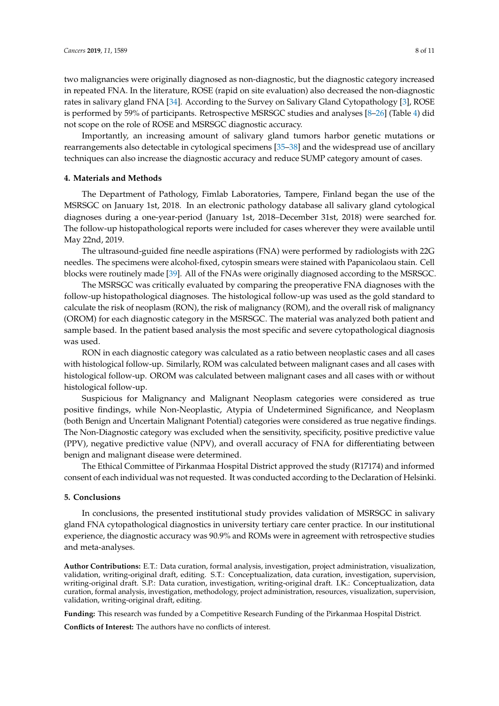two malignancies were originally diagnosed as non-diagnostic, but the diagnostic category increased in repeated FNA. In the literature, ROSE (rapid on site evaluation) also decreased the non-diagnostic rates in salivary gland FNA [\[34\]](#page-9-17). According to the Survey on Salivary Gland Cytopathology [\[3\]](#page-8-2), ROSE is performed by 59% of participants. Retrospective MSRSGC studies and analyses [\[8–](#page-8-7)[26\]](#page-9-0) (Table [4\)](#page-5-0) did not scope on the role of ROSE and MSRSGC diagnostic accuracy.

Importantly, an increasing amount of salivary gland tumors harbor genetic mutations or rearrangements also detectable in cytological specimens [\[35](#page-9-18)[–38\]](#page-10-0) and the widespread use of ancillary techniques can also increase the diagnostic accuracy and reduce SUMP category amount of cases.

#### **4. Materials and Methods**

The Department of Pathology, Fimlab Laboratories, Tampere, Finland began the use of the MSRSGC on January 1st, 2018. In an electronic pathology database all salivary gland cytological diagnoses during a one-year-period (January 1st, 2018–December 31st, 2018) were searched for. The follow-up histopathological reports were included for cases wherever they were available until May 22nd, 2019.

The ultrasound-guided fine needle aspirations (FNA) were performed by radiologists with 22G needles. The specimens were alcohol-fixed, cytospin smears were stained with Papanicolaou stain. Cell blocks were routinely made [\[39\]](#page-10-1). All of the FNAs were originally diagnosed according to the MSRSGC.

The MSRSGC was critically evaluated by comparing the preoperative FNA diagnoses with the follow-up histopathological diagnoses. The histological follow-up was used as the gold standard to calculate the risk of neoplasm (RON), the risk of malignancy (ROM), and the overall risk of malignancy (OROM) for each diagnostic category in the MSRSGC. The material was analyzed both patient and sample based. In the patient based analysis the most specific and severe cytopathological diagnosis was used.

RON in each diagnostic category was calculated as a ratio between neoplastic cases and all cases with histological follow-up. Similarly, ROM was calculated between malignant cases and all cases with histological follow-up. OROM was calculated between malignant cases and all cases with or without histological follow-up.

Suspicious for Malignancy and Malignant Neoplasm categories were considered as true positive findings, while Non-Neoplastic, Atypia of Undetermined Significance, and Neoplasm (both Benign and Uncertain Malignant Potential) categories were considered as true negative findings. The Non-Diagnostic category was excluded when the sensitivity, specificity, positive predictive value (PPV), negative predictive value (NPV), and overall accuracy of FNA for differentiating between benign and malignant disease were determined.

The Ethical Committee of Pirkanmaa Hospital District approved the study (R17174) and informed consent of each individual was not requested. It was conducted according to the Declaration of Helsinki.

#### **5. Conclusions**

In conclusions, the presented institutional study provides validation of MSRSGC in salivary gland FNA cytopathological diagnostics in university tertiary care center practice. In our institutional experience, the diagnostic accuracy was 90.9% and ROMs were in agreement with retrospective studies and meta-analyses.

**Author Contributions:** E.T.: Data curation, formal analysis, investigation, project administration, visualization, validation, writing-original draft, editing. S.T.: Conceptualization, data curation, investigation, supervision, writing-original draft. S.P.: Data curation, investigation, writing-original draft. I.K.: Conceptualization, data curation, formal analysis, investigation, methodology, project administration, resources, visualization, supervision, validation, writing-original draft, editing.

**Funding:** This research was funded by a Competitive Research Funding of the Pirkanmaa Hospital District.

**Conflicts of Interest:** The authors have no conflicts of interest.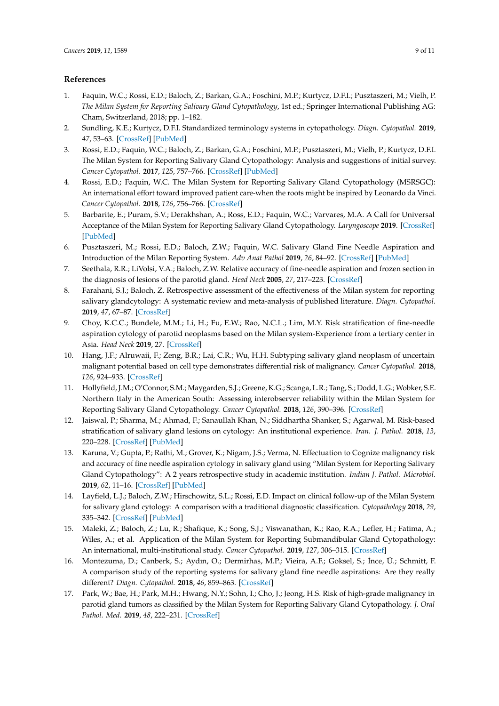### <span id="page-8-9"></span>**References**

- <span id="page-8-0"></span>1. Faquin, W.C.; Rossi, E.D.; Baloch, Z.; Barkan, G.A.; Foschini, M.P.; Kurtycz, D.F.I.; Pusztaszeri, M.; Vielh, P. *The Milan System for Reporting Salivary Gland Cytopathology*, 1st ed.; Springer International Publishing AG: Cham, Switzerland, 2018; pp. 1–182.
- <span id="page-8-8"></span><span id="page-8-1"></span>2. Sundling, K.E.; Kurtycz, D.F.I. Standardized terminology systems in cytopathology. *Diagn. Cytopathol.* **2019**, *47*, 53–63. [\[CrossRef\]](http://dx.doi.org/10.1002/dc.24103) [\[PubMed\]](http://www.ncbi.nlm.nih.gov/pubmed/30499199)
- <span id="page-8-10"></span><span id="page-8-2"></span>3. Rossi, E.D.; Faquin, W.C.; Baloch, Z.; Barkan, G.A.; Foschini, M.P.; Pusztaszeri, M.; Vielh, P.; Kurtycz, D.F.I. The Milan System for Reporting Salivary Gland Cytopathology: Analysis and suggestions of initial survey. *Cancer Cytopathol.* **2017**, *125*, 757–766. [\[CrossRef\]](http://dx.doi.org/10.1002/cncy.21898) [\[PubMed\]](http://www.ncbi.nlm.nih.gov/pubmed/28708928)
- <span id="page-8-3"></span>4. Rossi, E.D.; Faquin, W.C. The Milan System for Reporting Salivary Gland Cytopathology (MSRSGC): An international effort toward improved patient care-when the roots might be inspired by Leonardo da Vinci. *Cancer Cytopathol.* **2018**, *126*, 756–766. [\[CrossRef\]](http://dx.doi.org/10.1002/cncy.22040)
- <span id="page-8-11"></span><span id="page-8-4"></span>5. Barbarite, E.; Puram, S.V.; Derakhshan, A.; Ross, E.D.; Faquin, W.C.; Varvares, M.A. A Call for Universal Acceptance of the Milan System for Reporting Salivary Gland Cytopathology. *Laryngoscope* **2019**. [\[CrossRef\]](http://dx.doi.org/10.1002/lary.27905) [\[PubMed\]](http://www.ncbi.nlm.nih.gov/pubmed/30848480)
- <span id="page-8-12"></span><span id="page-8-5"></span>6. Pusztaszeri, M.; Rossi, E.D.; Baloch, Z.W.; Faquin, W.C. Salivary Gland Fine Needle Aspiration and Introduction of the Milan Reporting System. *Adv Anat Pathol* **2019**, *26*, 84–92. [\[CrossRef\]](http://dx.doi.org/10.1097/PAP.0000000000000224) [\[PubMed\]](http://www.ncbi.nlm.nih.gov/pubmed/30601148)
- <span id="page-8-6"></span>7. Seethala, R.R.; LiVolsi, V.A.; Baloch, Z.W. Relative accuracy of fine-needle aspiration and frozen section in the diagnosis of lesions of the parotid gland. *Head Neck* **2005**, *27*, 217–223. [\[CrossRef\]](http://dx.doi.org/10.1002/hed.20142)
- <span id="page-8-7"></span>8. Farahani, S.J.; Baloch, Z. Retrospective assessment of the effectiveness of the Milan system for reporting salivary glandcytology: A systematic review and meta-analysis of published literature. *Diagn. Cytopathol.* **2019**, *47*, 67–87. [\[CrossRef\]](http://dx.doi.org/10.1002/dc.24097)
- <span id="page-8-13"></span>9. Choy, K.C.C.; Bundele, M.M.; Li, H.; Fu, E.W.; Rao, N.C.L.; Lim, M.Y. Risk stratification of fine-needle aspiration cytology of parotid neoplasms based on the Milan system-Experience from a tertiary center in Asia. *Head Neck* **2019**, 27. [\[CrossRef\]](http://dx.doi.org/10.1002/hed.25804)
- <span id="page-8-14"></span>10. Hang, J.F.; Alruwaii, F.; Zeng, B.R.; Lai, C.R.; Wu, H.H. Subtyping salivary gland neoplasm of uncertain malignant potential based on cell type demonstrates differential risk of malignancy. *Cancer Cytopathol.* **2018**, *126*, 924–933. [\[CrossRef\]](http://dx.doi.org/10.1002/cncy.22066)
- <span id="page-8-15"></span>11. Hollyfield, J.M.; O'Connor, S.M.; Maygarden, S.J.; Greene, K.G.; Scanga, L.R.; Tang, S.; Dodd, L.G.; Wobker, S.E. Northern Italy in the American South: Assessing interobserver reliability within the Milan System for Reporting Salivary Gland Cytopathology. *Cancer Cytopathol.* **2018**, *126*, 390–396. [\[CrossRef\]](http://dx.doi.org/10.1002/cncy.21989)
- 12. Jaiswal, P.; Sharma, M.; Ahmad, F.; Sanaullah Khan, N.; Siddhartha Shanker, S.; Agarwal, M. Risk-based stratification of salivary gland lesions on cytology: An institutional experience. *Iran. J. Pathol.* **2018**, *13*, 220–228. [\[CrossRef\]](http://dx.doi.org/10.30699/ijp.13.2.220) [\[PubMed\]](http://www.ncbi.nlm.nih.gov/pubmed/30697293)
- 13. Karuna, V.; Gupta, P.; Rathi, M.; Grover, K.; Nigam, J.S.; Verma, N. Effectuation to Cognize malignancy risk and accuracy of fine needle aspiration cytology in salivary gland using "Milan System for Reporting Salivary Gland Cytopathology": A 2 years retrospective study in academic institution. *Indian J. Pathol. Microbiol.* **2019**, *62*, 11–16. [\[CrossRef\]](http://dx.doi.org/10.4103/IJPM.IJPM_380_18) [\[PubMed\]](http://www.ncbi.nlm.nih.gov/pubmed/30706853)
- 14. Layfield, L.J.; Baloch, Z.W.; Hirschowitz, S.L.; Rossi, E.D. Impact on clinical follow-up of the Milan System for salivary gland cytology: A comparison with a traditional diagnostic classification. *Cytopathology* **2018**, *29*, 335–342. [\[CrossRef\]](http://dx.doi.org/10.1111/cyt.12562) [\[PubMed\]](http://www.ncbi.nlm.nih.gov/pubmed/29723435)
- <span id="page-8-16"></span>15. Maleki, Z.; Baloch, Z.; Lu, R.; Shafique, K.; Song, S.J.; Viswanathan, K.; Rao, R.A.; Lefler, H.; Fatima, A.; Wiles, A.; et al. Application of the Milan System for Reporting Submandibular Gland Cytopathology: An international, multi-institutional study. *Cancer Cytopathol.* **2019**, *127*, 306–315. [\[CrossRef\]](http://dx.doi.org/10.1002/cncy.22135)
- 16. Montezuma, D.; Canberk, S.; Aydın, O.; Dermirhas, M.P.; Vieira, A.F.; Goksel, S.; ˙Ince, Ü.; Schmitt, F. A comparison study of the reporting systems for salivary gland fine needle aspirations: Are they really different? *Diagn. Cytopathol.* **2018**, *46*, 859–863. [\[CrossRef\]](http://dx.doi.org/10.1002/dc.24037)
- 17. Park, W.; Bae, H.; Park, M.H.; Hwang, N.Y.; Sohn, I.; Cho, J.; Jeong, H.S. Risk of high-grade malignancy in parotid gland tumors as classified by the Milan System for Reporting Salivary Gland Cytopathology. *J. Oral Pathol. Med.* **2019**, *48*, 222–231. [\[CrossRef\]](http://dx.doi.org/10.1111/jop.12816)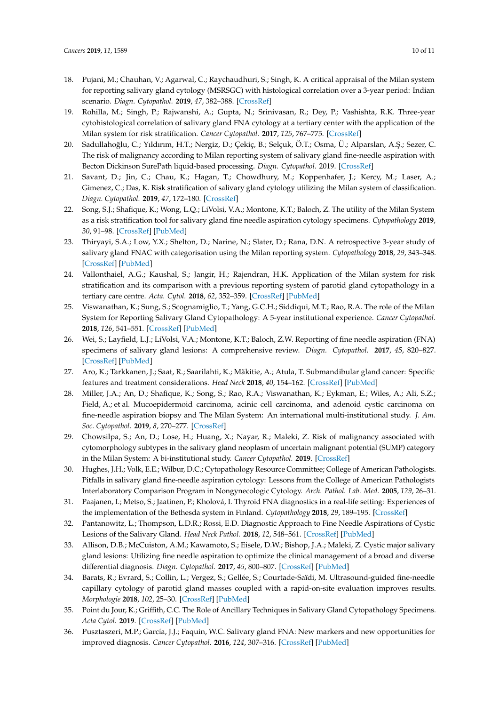- <span id="page-9-7"></span><span id="page-9-6"></span><span id="page-9-5"></span><span id="page-9-4"></span><span id="page-9-3"></span><span id="page-9-2"></span><span id="page-9-1"></span>18. Pujani, M.; Chauhan, V.; Agarwal, C.; Raychaudhuri, S.; Singh, K. A critical appraisal of the Milan system for reporting salivary gland cytology (MSRSGC) with histological correlation over a 3-year period: Indian scenario. *Diagn. Cytopathol.* **2019**, *47*, 382–388. [\[CrossRef\]](http://dx.doi.org/10.1002/dc.24109)
- <span id="page-9-8"></span>19. Rohilla, M.; Singh, P.; Rajwanshi, A.; Gupta, N.; Srinivasan, R.; Dey, P.; Vashishta, R.K. Three-year cytohistological correlation of salivary gland FNA cytology at a tertiary center with the application of the Milan system for risk stratification. *Cancer Cytopathol.* **2017**, *125*, 767–775. [\[CrossRef\]](http://dx.doi.org/10.1002/cncy.21900)
- <span id="page-9-9"></span>20. Sadullahoğlu, C.; Yıldırım, H.T.; Nergiz, D.; Çekiç, B.; Selçuk, Ö.T.; Osma, Ü.; Alparslan, A.Ş.; Sezer, C. The risk of malignancy according to Milan reporting system of salivary gland fine-needle aspiration with Becton Dickinson SurePath liquid-based processing. *Diagn. Cytopathol.* 2019. [\[CrossRef\]](http://dx.doi.org/10.1002/dc.24214)
- 21. Savant, D.; Jin, C.; Chau, K.; Hagan, T.; Chowdhury, M.; Koppenhafer, J.; Kercy, M.; Laser, A.; Gimenez, C.; Das, K. Risk stratification of salivary gland cytology utilizing the Milan system of classification. *Diagn. Cytopathol.* **2019**, *47*, 172–180. [\[CrossRef\]](http://dx.doi.org/10.1002/dc.24063)
- 22. Song, S.J.; Shafique, K.; Wong, L.Q.; LiVolsi, V.A.; Montone, K.T.; Baloch, Z. The utility of the Milan System as a risk stratification tool for salivary gland fine needle aspiration cytology specimens. *Cytopathology* **2019**, *30*, 91–98. [\[CrossRef\]](http://dx.doi.org/10.1111/cyt.12642) [\[PubMed\]](http://www.ncbi.nlm.nih.gov/pubmed/30303566)
- 23. Thiryayi, S.A.; Low, Y.X.; Shelton, D.; Narine, N.; Slater, D.; Rana, D.N. A retrospective 3-year study of salivary gland FNAC with categorisation using the Milan reporting system. *Cytopathology* **2018**, *29*, 343–348. [\[CrossRef\]](http://dx.doi.org/10.1111/cyt.12557) [\[PubMed\]](http://www.ncbi.nlm.nih.gov/pubmed/29683536)
- 24. Vallonthaiel, A.G.; Kaushal, S.; Jangir, H.; Rajendran, H.K. Application of the Milan system for risk stratification and its comparison with a previous reporting system of parotid gland cytopathology in a tertiary care centre. *Acta. Cytol.* **2018**, *62*, 352–359. [\[CrossRef\]](http://dx.doi.org/10.1159/000492051) [\[PubMed\]](http://www.ncbi.nlm.nih.gov/pubmed/30223278)
- 25. Viswanathan, K.; Sung, S.; Scognamiglio, T.; Yang, G.C.H.; Siddiqui, M.T.; Rao, R.A. The role of the Milan System for Reporting Salivary Gland Cytopathology: A 5-year institutional experience. *Cancer Cytopathol.* **2018**, *126*, 541–551. [\[CrossRef\]](http://dx.doi.org/10.1002/cncy.22016) [\[PubMed\]](http://www.ncbi.nlm.nih.gov/pubmed/29797690)
- <span id="page-9-0"></span>26. Wei, S.; Layfield, L.J.; LiVolsi, V.A.; Montone, K.T.; Baloch, Z.W. Reporting of fine needle aspiration (FNA) specimens of salivary gland lesions: A comprehensive review. *Diagn. Cytopathol.* **2017**, *45*, 820–827. [\[CrossRef\]](http://dx.doi.org/10.1002/dc.23716) [\[PubMed\]](http://www.ncbi.nlm.nih.gov/pubmed/28371507)
- <span id="page-9-10"></span>27. Aro, K.; Tarkkanen, J.; Saat, R.; Saarilahti, K.; Mäkitie, A.; Atula, T. Submandibular gland cancer: Specific features and treatment considerations. *Head Neck* **2018**, *40*, 154–162. [\[CrossRef\]](http://dx.doi.org/10.1002/hed.24981) [\[PubMed\]](http://www.ncbi.nlm.nih.gov/pubmed/29083518)
- <span id="page-9-11"></span>28. Miller, J.A.; An, D.; Shafique, K.; Song, S.; Rao, R.A.; Viswanathan, K.; Eykman, E.; Wiles, A.; Ali, S.Z.; Field, A.; et al. Mucoepidermoid carcinoma, acinic cell carcinoma, and adenoid cystic carcinoma on fine-needle aspiration biopsy and The Milan System: An international multi-institutional study. *J. Am. Soc. Cytopathol.* **2019**, *8*, 270–277. [\[CrossRef\]](http://dx.doi.org/10.1016/j.jasc.2019.04.001)
- <span id="page-9-12"></span>29. Chowsilpa, S.; An, D.; Lose, H.; Huang, X.; Nayar, R.; Maleki, Z. Risk of malignancy associated with cytomorphology subtypes in the salivary gland neoplasm of uncertain malignant potential (SUMP) category in the Milan System: A bi-institutional study. *Cancer Cytopathol.* **2019**. [\[CrossRef\]](http://dx.doi.org/10.1002/cncy.22150)
- <span id="page-9-13"></span>30. Hughes, J.H.; Volk, E.E.; Wilbur, D.C.; Cytopathology Resource Committee; College of American Pathologists. Pitfalls in salivary gland fine-needle aspiration cytology: Lessons from the College of American Pathologists Interlaboratory Comparison Program in Nongynecologic Cytology. *Arch. Pathol. Lab. Med.* **2005**, *129*, 26–31.
- <span id="page-9-14"></span>31. Paajanen, I.; Metso, S.; Jaatinen, P.; Kholová, I. Thyroid FNA diagnostics in a real-life setting: Experiences of the implementation of the Bethesda system in Finland. *Cytopathology* **2018**, *29*, 189–195. [\[CrossRef\]](http://dx.doi.org/10.1111/cyt.12513)
- <span id="page-9-15"></span>32. Pantanowitz, L.; Thompson, L.D.R.; Rossi, E.D. Diagnostic Approach to Fine Needle Aspirations of Cystic Lesions of the Salivary Gland. *Head Neck Pathol.* **2018**, *12*, 548–561. [\[CrossRef\]](http://dx.doi.org/10.1007/s12105-018-0904-8) [\[PubMed\]](http://www.ncbi.nlm.nih.gov/pubmed/29524082)
- <span id="page-9-16"></span>33. Allison, D.B.; McCuiston, A.M.; Kawamoto, S.; Eisele, D.W.; Bishop, J.A.; Maleki, Z. Cystic major salivary gland lesions: Utilizing fine needle aspiration to optimize the clinical management of a broad and diverse differential diagnosis. *Diagn. Cytopathol.* **2017**, *45*, 800–807. [\[CrossRef\]](http://dx.doi.org/10.1002/dc.23780) [\[PubMed\]](http://www.ncbi.nlm.nih.gov/pubmed/28670850)
- <span id="page-9-17"></span>34. Barats, R.; Evrard, S.; Collin, L.; Vergez, S.; Gellée, S.; Courtade-Saïdi, M. Ultrasound-guided fine-needle capillary cytology of parotid gland masses coupled with a rapid-on-site evaluation improves results. *Morphologie* **2018**, *102*, 25–30. [\[CrossRef\]](http://dx.doi.org/10.1016/j.morpho.2017.06.003) [\[PubMed\]](http://www.ncbi.nlm.nih.gov/pubmed/28732678)
- <span id="page-9-18"></span>35. Point du Jour, K.; Griffith, C.C. The Role of Ancillary Techniques in Salivary Gland Cytopathology Specimens. *Acta Cytol.* **2019**. [\[CrossRef\]](http://dx.doi.org/10.1159/000497109) [\[PubMed\]](http://www.ncbi.nlm.nih.gov/pubmed/30909279)
- 36. Pusztaszeri, M.P.; García, J.J.; Faquin, W.C. Salivary gland FNA: New markers and new opportunities for improved diagnosis. *Cancer Cytopathol.* **2016**, *124*, 307–316. [\[CrossRef\]](http://dx.doi.org/10.1002/cncy.21649) [\[PubMed\]](http://www.ncbi.nlm.nih.gov/pubmed/26539897)